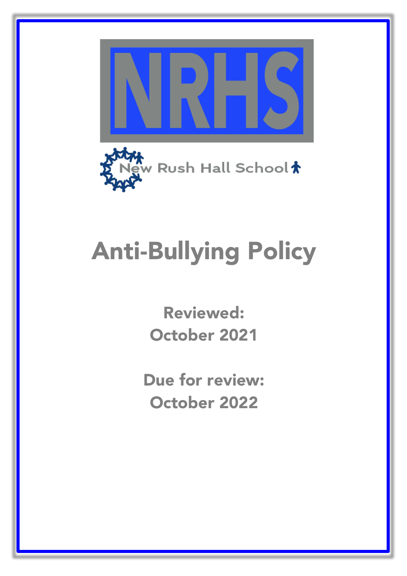

# Anti-Bullying Policy

Reviewed: October 2021

l, Due for review: October 2022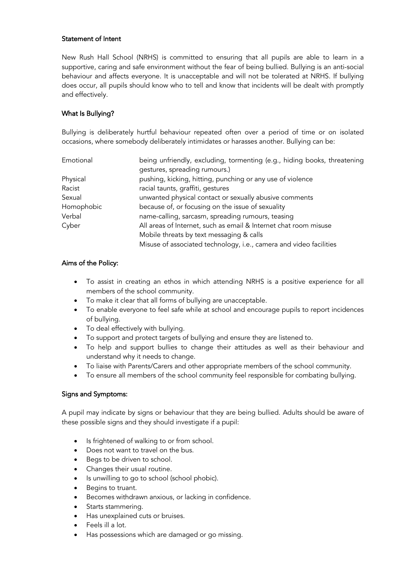### Statement of Intent

New Rush Hall School (NRHS) is committed to ensuring that all pupils are able to learn in a supportive, caring and safe environment without the fear of being bullied. Bullying is an anti-social behaviour and affects everyone. It is unacceptable and will not be tolerated at NRHS. If bullying does occur, all pupils should know who to tell and know that incidents will be dealt with promptly and effectively.

## What Is Bullying?

Bullying is deliberately hurtful behaviour repeated often over a period of time or on isolated occasions, where somebody deliberately intimidates or harasses another. Bullying can be:

| Emotional  | being unfriendly, excluding, tormenting (e.g., hiding books, threatening |
|------------|--------------------------------------------------------------------------|
|            | gestures, spreading rumours.)                                            |
| Physical   | pushing, kicking, hitting, punching or any use of violence               |
| Racist     | racial taunts, graffiti, gestures                                        |
| Sexual     | unwanted physical contact or sexually abusive comments                   |
| Homophobic | because of, or focusing on the issue of sexuality                        |
| Verbal     | name-calling, sarcasm, spreading rumours, teasing                        |
| Cyber      | All areas of Internet, such as email & Internet chat room misuse         |
|            | Mobile threats by text messaging & calls                                 |
|            | Misuse of associated technology, i.e., camera and video facilities       |

## Aims of the Policy:

- To assist in creating an ethos in which attending NRHS is a positive experience for all members of the school community.
- To make it clear that all forms of bullying are unacceptable.
- To enable everyone to feel safe while at school and encourage pupils to report incidences of bullying.
- To deal effectively with bullying.
- To support and protect targets of bullying and ensure they are listened to.
- To help and support bullies to change their attitudes as well as their behaviour and understand why it needs to change.
- To liaise with Parents/Carers and other appropriate members of the school community.
- To ensure all members of the school community feel responsible for combating bullying.

#### Signs and Symptoms:

A pupil may indicate by signs or behaviour that they are being bullied. Adults should be aware of these possible signs and they should investigate if a pupil:

- Is frightened of walking to or from school.
- Does not want to travel on the bus.
- Begs to be driven to school.
- Changes their usual routine.
- Is unwilling to go to school (school phobic).
- Begins to truant.
- Becomes withdrawn anxious, or lacking in confidence.
- Starts stammering.
- Has unexplained cuts or bruises.
- Feels ill a lot.
- Has possessions which are damaged or go missing.